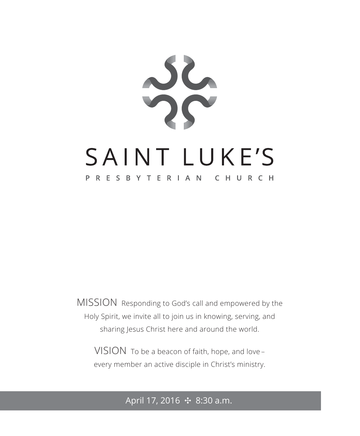

MISSION Responding to God's call and empowered by the Holy Spirit, we invite all to join us in knowing, serving, and sharing Jesus Christ here and around the world.

VISION To be a beacon of faith, hope, and love – every member an active disciple in Christ's ministry.

## April 17, 2016 ✣ 8:30 a.m.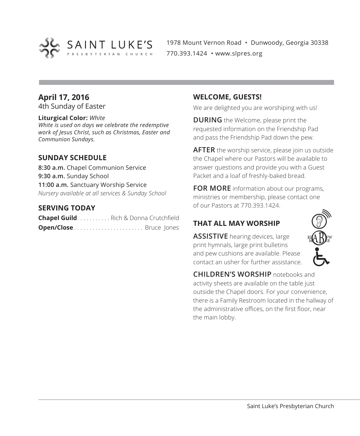

1978 Mount Vernon Road • Dunwoody, Georgia 30338 770.393.1424 • www.slpres.org

#### **April 17, 2016**

4th Sunday of Easter

#### **Liturgical Color:** *White*

*White is used on days we celebrate the redemptive work of Jesus Christ, such as Christmas, Easter and Communion Sundays.*

#### **SUNDAY SCHEDULE**

**8:30 a.m.** Chapel Communion Service **9:30 a.m.** Sunday School **11:00 a.m.** Sanctuary Worship Service *Nursery available at all services & Sunday School*

#### **SERVING TODAY**

| <b>Chapel Guild</b> Rich & Donna Crutchfield |  |
|----------------------------------------------|--|
|                                              |  |

#### **WELCOME, GUESTS!**

We are delighted you are worshiping with us!

**DURING** the Welcome, please print the requested information on the Friendship Pad and pass the Friendship Pad down the pew.

**AFTER** the worship service, please join us outside the Chapel where our Pastors will be available to answer questions and provide you with a Guest Packet and a loaf of freshly-baked bread.

**FOR MORE** information about our programs, ministries or membership, please contact one of our Pastors at 770.393.1424.

#### **THAT ALL MAY WORSHIP**

**ASSISTIVE** hearing devices, large print hymnals, large print bulletins and pew cushions are available. Please contact an usher for further assistance.



**CHILDREN'S WORSHIP** notebooks and activity sheets are available on the table just outside the Chapel doors. For your convenience, there is a Family Restroom located in the hallway of the administrative offices, on the first floor, near the main lobby.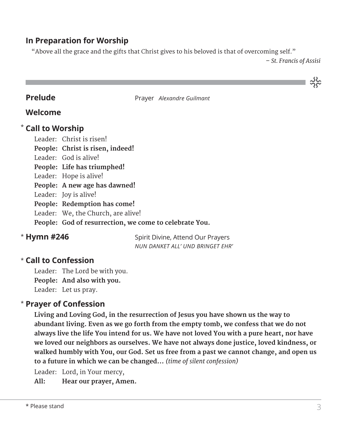#### **In Preparation for Worship**

"Above all the grace and the gifts that Christ gives to his beloved is that of overcoming self."

*– St. Francis of Assisi*

သိုင်း

**Prelude** Prayer *Alexandre Guilmant* 

#### **Welcome**

#### **Call to Worship** \*

Leader: Christ is risen! **People: Christ is risen, indeed!** Leader: God is alive! **People: Life has triumphed!** Leader: Hope is alive! **People: A new age has dawned!** Leader: Joy is alive! **People: Redemption has come!** Leader: We, the Church, are alive! **People: God of resurrection, we come to celebrate You.**

### \* Hymn #246

Spirit Divine, Attend Our Prayers *NUN DANKET ALL' UND BRINGET EHR'*

### **Call to Confession**  \*

Leader: The Lord be with you. **People: And also with you.** Leader: Let us pray.

#### **Prayer of Confession**  \*

 **Living and Loving God, in the resurrection of Jesus you have shown us the way to abundant living. Even as we go forth from the empty tomb, we confess that we do not always live the life You intend for us. We have not loved You with a pure heart, nor have we loved our neighbors as ourselves. We have not always done justice, loved kindness, or walked humbly with You, our God. Set us free from a past we cannot change, and open us to a future in which we can be changed...** *(time of silent confession)*

Leader: Lord, in Your mercy,

**All: Hear our prayer, Amen.**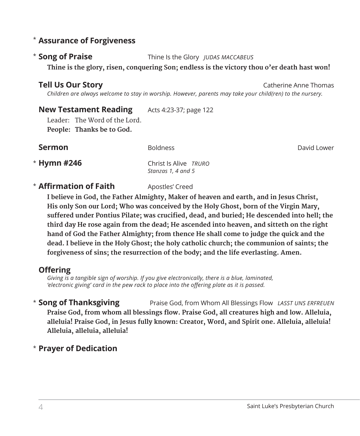#### **Assurance of Forgiveness** \*

#### \* Song of Praise

**Song of Praise** Thine Is the Glory *JUDAS MACCABEUS*

**Thine is the glory, risen, conquering Son; endless is the victory thou o'er death hast won!**

#### **Tell Us Our Story Catherine Anne Thomas**

 *Children are always welcome to stay in worship. However, parents may take your child(ren) to the nursery.* 

#### **New Testament Reading** Acts 4:23-37; page 122

Leader: The Word of the Lord. **People: Thanks be to God.** 

**Sermon** Boldness **Boldness David Lower** 

\* Hymn #246

**Hymn #246** Christ Is Alive *TRURO Stanzas 1, 4 and 5* 

#### **\* Affirmation of Faith** Apostles' Creed

 **I believe in God, the Father Almighty, Maker of heaven and earth, and in Jesus Christ, His only Son our Lord; Who was conceived by the Holy Ghost, born of the Virgin Mary, suffered under Pontius Pilate; was crucified, dead, and buried; He descended into hell; the third day He rose again from the dead; He ascended into heaven, and sitteth on the right hand of God the Father Almighty; from thence He shall come to judge the quick and the dead. I believe in the Holy Ghost; the holy catholic church; the communion of saints; the forgiveness of sins; the resurrection of the body; and the life everlasting. Amen.**

#### **Offering**

*Giving is a tangible sign of worship. If you give electronically, there is a blue, laminated, 'electronic giving' card in the pew rack to place into the offering plate as it is passed.* 

**Song of Thanksgiving** Praise God, from Whom All Blessings Flow *LASST UNS ERFREUEN* **Praise God, from whom all blessings flow. Praise God, all creatures high and low. Alleluia, alleluia! Praise God, in Jesus fully known: Creator, Word, and Spirit one. Alleluia, alleluia! Alleluia, alleluia, alleluia!** \* Song of Thanksgiving

### **Prayer of Dedication** \*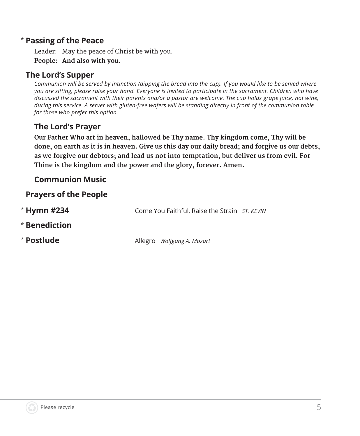#### **Passing of the Peace** \*

Leader: May the peace of Christ be with you. **People: And also with you.**

#### **The Lord's Supper**

*Communion will be served by intinction (dipping the bread into the cup). If you would like to be served where you are sitting, please raise your hand. Everyone is invited to participate in the sacrament. Children who have discussed the sacrament with their parents and/or a pastor are welcome. The cup holds grape juice, not wine, during this service. A server with gluten-free wafers will be standing directly in front of the communion table for those who prefer this option.*

#### **The Lord's Prayer**

 **Our Father Who art in heaven, hallowed be Thy name. Thy kingdom come, Thy will be done, on earth as it is in heaven. Give us this day our daily bread; and forgive us our debts, as we forgive our debtors; and lead us not into temptation, but deliver us from evil. For Thine is the kingdom and the power and the glory, forever. Amen.**

#### **Communion Music**

#### **Prayers of the People**

| $*$ Hymn #234 | Come You Faithful, Raise the Strain ST. KEVIN |  |
|---------------|-----------------------------------------------|--|
| * Benediction |                                               |  |
| * Postlude    | Allegro Wolfgang A. Mozart                    |  |

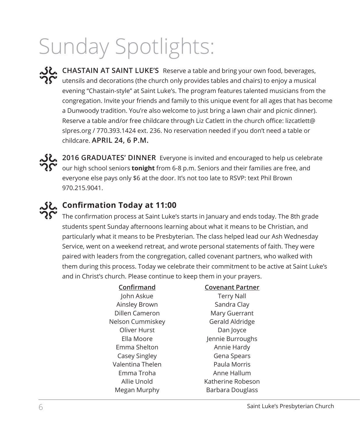# Sunday Spotlights:

**CHASTAIN AT SAINT LUKE'S** Reserve a table and bring your own food, beverages, utensils and decorations (the church only provides tables and chairs) to enjoy a musical evening "Chastain-style" at Saint Luke's. The program features talented musicians from the congregation. Invite your friends and family to this unique event for all ages that has become a Dunwoody tradition. You're also welcome to just bring a lawn chair and picnic dinner). Reserve a table and/or free childcare through Liz Catlett in the church office: lizcatlett@ slpres.org / 770.393.1424 ext. 236. No reservation needed if you don't need a table or childcare. **APRIL 24, 6 P.M.** 

**2016 GRADUATES' DINNER** Everyone is invited and encouraged to help us celebrate our high school seniors **tonight** from 6-8 p.m. Seniors and their families are free, and everyone else pays only \$6 at the door. It's not too late to RSVP: text Phil Brown 970.215.9041.

# **ے Confirmation Today at 11:00**<br>محمد حید تصنیف

The confirmation process at Saint Luke's starts in January and ends today. The 8th grade students spent Sunday afternoons learning about what it means to be Christian, and particularly what it means to be Presbyterian. The class helped lead our Ash Wednesday Service, went on a weekend retreat, and wrote personal statements of faith. They were paired with leaders from the congregation, called covenant partners, who walked with them during this process. Today we celebrate their commitment to be active at Saint Luke's and in Christ's church. Please continue to keep them in your prayers.

| Confirmand       | <b>Covenant Partner</b> |
|------------------|-------------------------|
| John Askue       | <b>Terry Nall</b>       |
| Ainsley Brown    | Sandra Clay             |
| Dillen Cameron   | Mary Guerrant           |
| Nelson Cummiskev | Gerald Aldridge         |
| Oliver Hurst     | Dan Joyce               |
| Ella Moore       | Jennie Burroughs        |
| Emma Shelton     | Annie Hardy             |
| Casey Singley    | Gena Spears             |
| Valentina Thelen | Paula Morris            |
| Emma Troha       | Anne Hallum             |
| Allie Unold      | Katherine Robeson       |
| Megan Murphy     | Barbara Douglass        |
|                  |                         |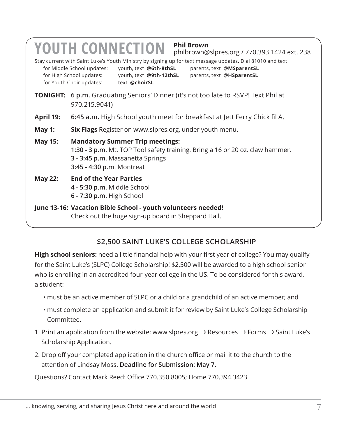|                                                                                                                                                                                                            | <b>Phil Brown</b><br><b>YOUTH CONNECTION</b><br>philbrown@slpres.org / 770.393.1424 ext. 238<br>Stay current with Saint Luke's Youth Ministry by signing up for text message updates. Dial 81010 and text:<br>youth, text @6th-8thSL<br>for Middle School updates:<br>parents, text @MSparentSL<br>for High School updates:<br>youth, text @9th-12thSL<br>parents, text @HSparentSL<br>for Youth Choir updates:<br>text @choirSL |  |  |
|------------------------------------------------------------------------------------------------------------------------------------------------------------------------------------------------------------|----------------------------------------------------------------------------------------------------------------------------------------------------------------------------------------------------------------------------------------------------------------------------------------------------------------------------------------------------------------------------------------------------------------------------------|--|--|
|                                                                                                                                                                                                            | <b>TONIGHT:</b> 6 p.m. Graduating Seniors' Dinner (it's not too late to RSVP! Text Phil at<br>970.215.9041)                                                                                                                                                                                                                                                                                                                      |  |  |
| April 19:                                                                                                                                                                                                  | 6:45 a.m. High School youth meet for breakfast at Jett Ferry Chick fil A.                                                                                                                                                                                                                                                                                                                                                        |  |  |
| May 1:                                                                                                                                                                                                     | Six Flags Register on www.slpres.org, under youth menu.                                                                                                                                                                                                                                                                                                                                                                          |  |  |
| <b>Mandatory Summer Trip meetings:</b><br><b>May 15:</b><br>1:30 - 3 p.m. Mt. TOP Tool safety training. Bring a 16 or 20 oz. claw hammer.<br>3 - 3:45 p.m. Massanetta Springs<br>3:45 - 4:30 p.m. Montreat |                                                                                                                                                                                                                                                                                                                                                                                                                                  |  |  |
| <b>End of the Year Parties</b><br><b>May 22:</b><br>4 - 5:30 p.m. Middle School<br>6 - 7:30 p.m. High School                                                                                               |                                                                                                                                                                                                                                                                                                                                                                                                                                  |  |  |
| June 13-16: Vacation Bible School - youth volunteers needed!<br>Check out the huge sign-up board in Sheppard Hall.                                                                                         |                                                                                                                                                                                                                                                                                                                                                                                                                                  |  |  |

#### **\$2,500 SAINT LUKE'S COLLEGE SCHOLARSHIP**

**High school seniors:** need a little financial help with your first year of college? You may qualify for the Saint Luke's (SLPC) College Scholarship! \$2,500 will be awarded to a high school senior who is enrolling in an accredited four-year college in the US. To be considered for this award, a student:

- must be an active member of SLPC or a child or a grandchild of an active member; and
- must complete an application and submit it for review by Saint Luke's College Scholarship Committee.
- 1. Print an application from the website: www.slpres.org  $\rightarrow$  Resources  $\rightarrow$  Forms  $\rightarrow$  Saint Luke's Scholarship Application.
- 2. Drop off your completed application in the church office or mail it to the church to the attention of Lindsay Moss. **Deadline for Submission: May 7.**

Questions? Contact Mark Reed: Office 770.350.8005; Home 770.394.3423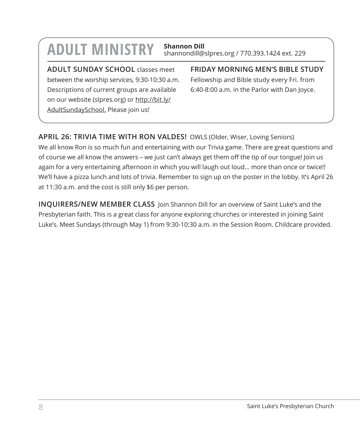# **ADULT MINISTRY Shannon Dill**

shannondill@slpres.org / 770.393.1424 ext. 229

**ADULT SUNDAY SCHOOL** classes meet between the worship services, 9:30-10:30 a.m. Descriptions of current groups are available on our website (slpres.org) or http://bit.ly/ AdultSundaySchool. Please join us!

**FRIDAY MORNING MEN'S BIBLE STUDY** 

Fellowship and Bible study every Fri. from 6:40-8:00 a.m. in the Parlor with Dan Joyce.

#### **APRIL 26: TRIVIA TIME WITH RON VALDES!** OWLS (Older, Wiser, Loving Seniors)

We all know Ron is so much fun and entertaining with our Trivia game. There are great questions and of course we all know the answers – we just can't always get them off the tip of our tongue! Join us again for a very entertaining afternoon in which you will laugh out loud… more than once or twice!! We'll have a pizza lunch and lots of trivia. Remember to sign up on the poster in the lobby. It's April 26 at 11:30 a.m. and the cost is still only \$6 per person.

**INQUIRERS/NEW MEMBER CLASS** Join Shannon Dill for an overview of Saint Luke's and the Presbyterian faith. This is a great class for anyone exploring churches or interested in joining Saint Luke's. Meet Sundays (through May 1) from 9:30-10:30 a.m. in the Session Room. Childcare provided.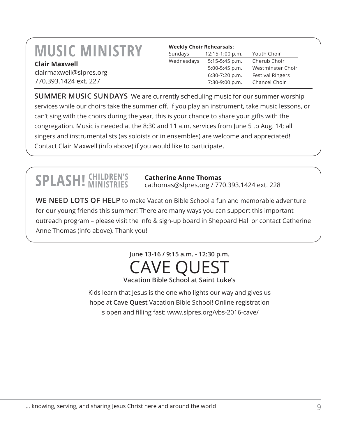# **MUSIC MINISTRY Clair Maxwell**

clairmaxwell@slpres.org 770.393.1424 ext. 227

| <b>Weekly Choir Rehearsals:</b> |                   |                         |  |
|---------------------------------|-------------------|-------------------------|--|
| Sundays                         | $12:15-1:00 p.m.$ | Youth Choir             |  |
| Wednesdays                      | $5:15-5:45$ p.m.  | Cherub Choir            |  |
|                                 | 5:00-5:45 p.m.    | Westminster Choir       |  |
|                                 | 6:30-7:20 p.m.    | <b>Festival Ringers</b> |  |
|                                 | 7:30-9:00 p.m.    | Chancel Choir           |  |

**SUMMER MUSIC SUNDAYS** We are currently scheduling music for our summer worship services while our choirs take the summer off. If you play an instrument, take music lessons, or can't sing with the choirs during the year, this is your chance to share your gifts with the congregation. Music is needed at the 8:30 and 11 a.m. services from June 5 to Aug. 14; all singers and instrumentalists (as soloists or in ensembles) are welcome and appreciated! Contact Clair Maxwell (info above) if you would like to participate.

# **SPLASH!** CHILDREN'S

#### **Catherine Anne Thomas**

cathomas@slpres.org / 770.393.1424 ext. 228

**WE NEED LOTS OF HELP** to make Vacation Bible School a fun and memorable adventure for our young friends this summer! There are many ways you can support this important outreach program – please visit the info & sign-up board in Sheppard Hall or contact Catherine Anne Thomas (info above). Thank you!

## **June 13-16 / 9:15 a.m. - 12:30 p.m.** CAVE QUEST **Vacation Bible School at Saint Luke's**

Kids learn that Jesus is the one who lights our way and gives us hope at **Cave Quest** Vacation Bible School! Online registration is open and filling fast: www.slpres.org/vbs-2016-cave/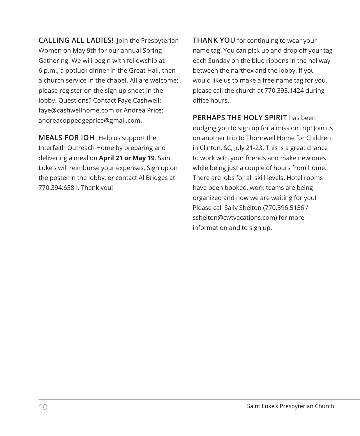**CALLING ALL LADIES!** Join the Presbyterian Women on May 9th for our annual Spring Gathering! We will begin with fellowship at 6 p.m., a potluck dinner in the Great Hall, then a church service in the chapel. All are welcome; please register on the sign up sheet in the lobby. Questions? Contact Faye Cashwell: faye@cashwellhome.com or Andrea Price: andreacoppedgeprice@gmail.com.

**MEALS FOR IOH** Help us support the Interfaith Outreach Home by preparing and delivering a meal on **April 21 or May 19**. Saint Luke's will reimburse your expenses. Sign up on the poster in the lobby, or contact Al Bridges at 770.394.6581. Thank you!

**THANK YOU** for continuing to wear your name tag! You can pick up and drop off your tag each Sunday on the blue ribbons in the hallway between the narthex and the lobby. If you would like us to make a free name tag for you, please call the church at 770.393.1424 during office hours.

**PERHAPS THE HOLY SPIRIT** has been nudging you to sign up for a mission trip! Join us on another trip to Thornwell Home for Children in Clinton, SC, July 21-23. This is a great chance to work with your friends and make new ones while being just a couple of hours from home. There are jobs for all skill levels. Hotel rooms have been booked, work teams are being organized and now we are waiting for you! Please call Sally Shelton (770.396.5156 / sshelton@cwtvacations.com) for more information and to sign up.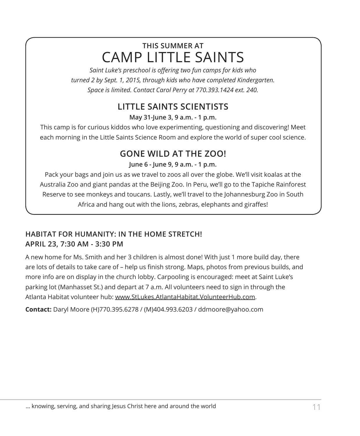# **THIS SUMMER AT** CAMP LITTLE SAINTS

*Saint Luke's preschool is offering two fun camps for kids who turned 2 by Sept. 1, 2015, through kids who have completed Kindergarten. Space is limited. Contact Carol Perry at 770.393.1424 ext. 240.*

# **LITTLE SAINTS SCIENTISTS**

**May 31-June 3, 9 a.m. - 1 p.m.**

This camp is for curious kiddos who love experimenting, questioning and discovering! Meet each morning in the Little Saints Science Room and explore the world of super cool science.

# **GONE WILD AT THE ZOO!**

**June 6 - June 9, 9 a.m. - 1 p.m.**

Pack your bags and join us as we travel to zoos all over the globe. We'll visit koalas at the Australia Zoo and giant pandas at the Beijing Zoo. In Peru, we'll go to the Tapiche Rainforest Reserve to see monkeys and toucans. Lastly, we'll travel to the Johannesburg Zoo in South Africa and hang out with the lions, zebras, elephants and giraffes!

#### **HABITAT FOR HUMANITY: IN THE HOME STRETCH! APRIL 23, 7:30 AM - 3:30 PM**

A new home for Ms. Smith and her 3 children is almost done! With just 1 more build day, there are lots of details to take care of – help us finish strong. Maps, photos from previous builds, and more info are on display in the church lobby. Carpooling is encouraged: meet at Saint Luke's parking lot (Manhasset St.) and depart at 7 a.m. All volunteers need to sign in through the Atlanta Habitat volunteer hub: www.StLukes.AtlantaHabitat.VolunteerHub.com.

**Contact:** Daryl Moore (H)770.395.6278 / (M)404.993.6203 / ddmoore@yahoo.com